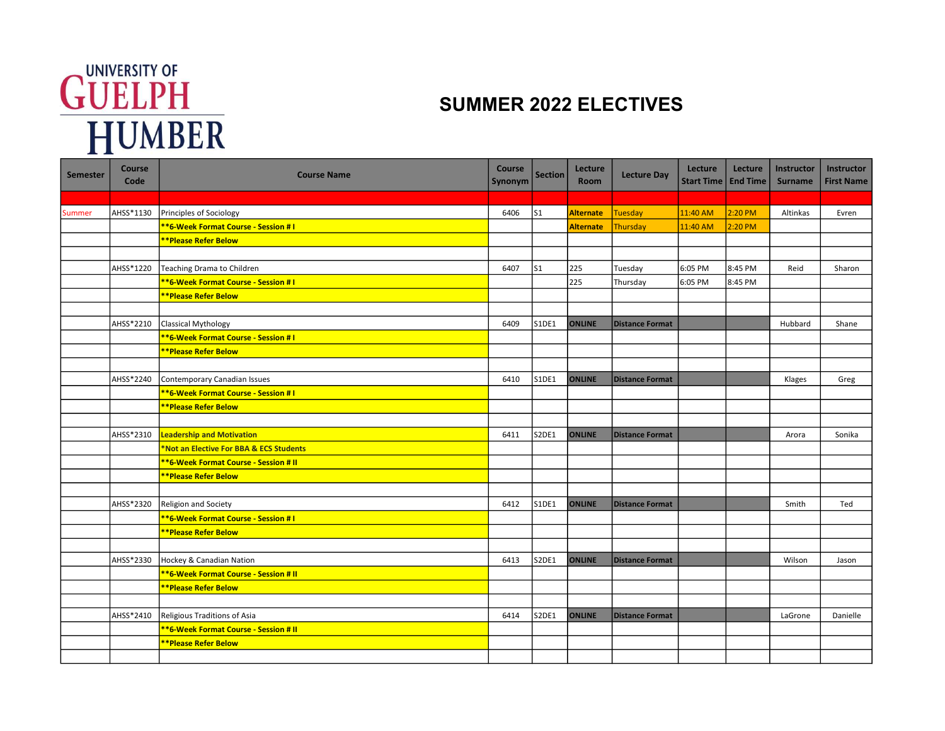## **GUELPH**<br>HUMBER

## SUMMER 2022 ELECTIVES

| <b>Semester</b> | Course<br>Code | <b>Course Name</b>                      | Course<br>Synonym | <b>Section</b> | Lecture<br>Room  | <b>Lecture Day</b>     | Lecture<br><b>Start Time</b> | Lecture<br><b>End Time</b> | Instructor<br><b>Surname</b> | Instructor<br><b>First Name</b> |
|-----------------|----------------|-----------------------------------------|-------------------|----------------|------------------|------------------------|------------------------------|----------------------------|------------------------------|---------------------------------|
|                 |                |                                         |                   |                |                  |                        |                              |                            |                              |                                 |
| Summer          | AHSS*1130      | Principles of Sociology                 | 6406              | $\mathsf{S}1$  | <b>Alternate</b> | <b>Tuesday</b>         | 11:40 AM                     | 2:20 PM                    | Altinkas                     | Evren                           |
|                 |                | **6-Week Format Course - Session # I    |                   |                | <b>Alternate</b> | <b>Thursday</b>        | 11:40 AM                     | 2:20 PM                    |                              |                                 |
|                 |                | <b>**Please Refer Below</b>             |                   |                |                  |                        |                              |                            |                              |                                 |
|                 |                |                                         |                   |                |                  |                        |                              |                            |                              |                                 |
|                 | AHSS*1220      | Teaching Drama to Children              | 6407              | S <sub>1</sub> | 225              | Tuesday                | 6:05 PM                      | 8:45 PM                    | Reid                         | Sharon                          |
|                 |                | **6-Week Format Course - Session # I    |                   |                | 225              | Thursday               | 6:05 PM                      | 8:45 PM                    |                              |                                 |
|                 |                | <b>**Please Refer Below</b>             |                   |                |                  |                        |                              |                            |                              |                                 |
|                 |                |                                         |                   |                |                  |                        |                              |                            |                              |                                 |
|                 | AHSS*2210      | <b>Classical Mythology</b>              | 6409              | S1DE1          | <b>ONLINE</b>    | <b>Distance Format</b> |                              |                            | Hubbard                      | Shane                           |
|                 |                | **6-Week Format Course - Session # I    |                   |                |                  |                        |                              |                            |                              |                                 |
|                 |                | <b>**Please Refer Below</b>             |                   |                |                  |                        |                              |                            |                              |                                 |
|                 |                |                                         |                   |                |                  |                        |                              |                            |                              |                                 |
|                 | AHSS*2240      | Contemporary Canadian Issues            | 6410              | S1DE1          | <b>ONLINE</b>    | <b>Distance Format</b> |                              |                            | Klages                       | Greg                            |
|                 |                | **6-Week Format Course - Session # I    |                   |                |                  |                        |                              |                            |                              |                                 |
|                 |                | <b>**Please Refer Below</b>             |                   |                |                  |                        |                              |                            |                              |                                 |
|                 |                |                                         |                   |                |                  |                        |                              |                            |                              |                                 |
|                 | AHSS*2310      | <b>Leadership and Motivation</b>        | 6411              | <b>S2DE1</b>   | <b>ONLINE</b>    | <b>Distance Format</b> |                              |                            | Arora                        | Sonika                          |
|                 |                | *Not an Elective For BBA & ECS Students |                   |                |                  |                        |                              |                            |                              |                                 |
|                 |                | *6-Week Format Course - Session # II    |                   |                |                  |                        |                              |                            |                              |                                 |
|                 |                | **Please Refer Below                    |                   |                |                  |                        |                              |                            |                              |                                 |
|                 |                |                                         |                   |                |                  |                        |                              |                            |                              |                                 |
|                 | AHSS*2320      | Religion and Society                    | 6412              | S1DE1          | <b>ONLINE</b>    | <b>Distance Format</b> |                              |                            | Smith                        | Ted                             |
|                 |                | **6-Week Format Course - Session # I    |                   |                |                  |                        |                              |                            |                              |                                 |
|                 |                | <b>**Please Refer Below</b>             |                   |                |                  |                        |                              |                            |                              |                                 |
|                 |                |                                         |                   |                |                  |                        |                              |                            |                              |                                 |
|                 | AHSS*2330      | Hockey & Canadian Nation                | 6413              | S2DE1          | <b>ONLINE</b>    | <b>Distance Format</b> |                              |                            | Wilson                       | Jason                           |
|                 |                | **6-Week Format Course - Session # II   |                   |                |                  |                        |                              |                            |                              |                                 |
|                 |                | <b>**Please Refer Below</b>             |                   |                |                  |                        |                              |                            |                              |                                 |
|                 |                |                                         |                   |                |                  |                        |                              |                            |                              |                                 |
|                 | AHSS*2410      | Religious Traditions of Asia            | 6414              | S2DE1          | <b>ONLINE</b>    | <b>Distance Format</b> |                              |                            | LaGrone                      | Danielle                        |
|                 |                | **6-Week Format Course - Session # II   |                   |                |                  |                        |                              |                            |                              |                                 |
|                 |                | **Please Refer Below                    |                   |                |                  |                        |                              |                            |                              |                                 |
|                 |                |                                         |                   |                |                  |                        |                              |                            |                              |                                 |